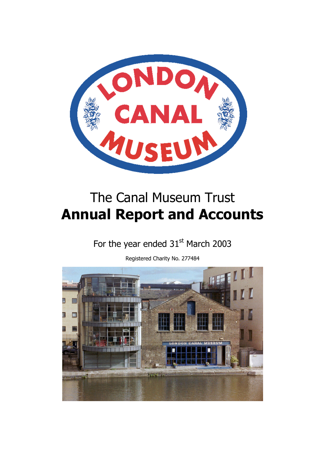

# The Canal Museum Trust **Annual Report and Accounts**

## For the year ended  $31<sup>st</sup>$  March 2003

Registered Charity No. 277484

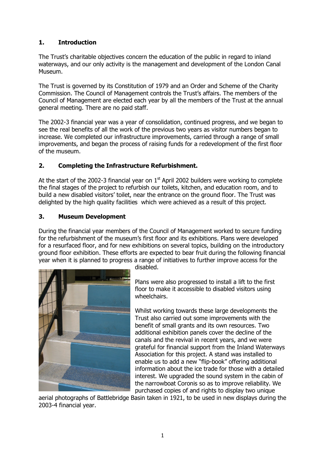## **1. Introduction**

The Trust's charitable objectives concern the education of the public in regard to inland waterways, and our only activity is the management and development of the London Canal Museum.

The Trust is governed by its Constitution of 1979 and an Order and Scheme of the Charity Commission. The Council of Management controls the Trust's affairs. The members of the Council of Management are elected each year by all the members of the Trust at the annual general meeting. There are no paid staff.

The 2002-3 financial year was a year of consolidation, continued progress, and we began to see the real benefits of all the work of the previous two years as visitor numbers began to increase. We completed our infrastructure improvements, carried through a range of small improvements, and began the process of raising funds for a redevelopment of the first floor of the museum.

## **2. Completing the Infrastructure Refurbishment.**

At the start of the 2002-3 financial year on  $1<sup>st</sup>$  April 2002 builders were working to complete the final stages of the project to refurbish our toilets, kitchen, and education room, and to build a new disabled visitors' toilet, near the entrance on the ground floor. The Trust was delighted by the high quality facilities which were achieved as a result of this project.

## **3. Museum Development**

During the financial year members of the Council of Management worked to secure funding for the refurbishment of the museum's first floor and its exhibitions. Plans were developed for a resurfaced floor, and for new exhibitions on several topics, building on the introductory ground floor exhibition. These efforts are expected to bear fruit during the following financial year when it is planned to progress a range of initiatives to further improve access for the



disabled.

Plans were also progressed to install a lift to the first floor to make it accessible to disabled visitors using wheelchairs.

Whilst working towards these large developments the Trust also carried out some improvements with the benefit of small grants and its own resources. Two additional exhibition panels cover the decline of the canals and the revival in recent years, and we were grateful for financial support from the Inland Waterways Association for this project. A stand was installed to enable us to add a new "flip-book" offering additional information about the ice trade for those with a detailed interest. We upgraded the sound system in the cabin of the narrowboat Coronis so as to improve reliability. We purchased copies of and rights to display two unique

aerial photographs of Battlebridge Basin taken in 1921, to be used in new displays during the 2003-4 financial year.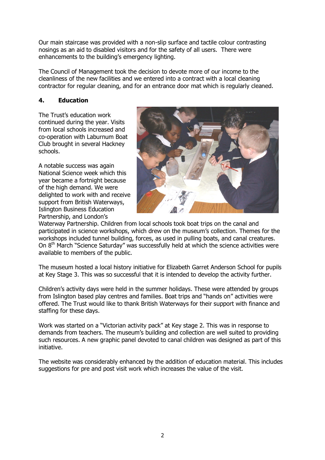Our main staircase was provided with a non-slip surface and tactile colour contrasting nosings as an aid to disabled visitors and for the safety of all users. There were enhancements to the building's emergency lighting.

The Council of Management took the decision to devote more of our income to the cleanliness of the new facilities and we entered into a contract with a local cleaning contractor for regular cleaning, and for an entrance door mat which is regularly cleaned.

## **4. Education**

The Trust's education work continued during the year. Visits from local schools increased and co-operation with Laburnum Boat Club brought in several Hackney schools.

A notable success was again National Science week which this year became a fortnight because of the high demand. We were delighted to work with and receive support from British Waterways, Islington Business Education Partnership, and London's



Waterway Partnership. Children from local schools took boat trips on the canal and participated in science workshops, which drew on the museum's collection. Themes for the workshops included tunnel building, forces, as used in pulling boats, and canal creatures. On 8<sup>th</sup> March "Science Saturday" was successfully held at which the science activities were available to members of the public.

The museum hosted a local history initiative for Elizabeth Garret Anderson School for pupils at Key Stage 3. This was so successful that it is intended to develop the activity further.

Children's activity days were held in the summer holidays. These were attended by groups from Islington based play centres and families. Boat trips and "hands on" activities were offered. The Trust would like to thank British Waterways for their support with finance and staffing for these days.

Work was started on a "Victorian activity pack" at Key stage 2. This was in response to demands from teachers. The museum's building and collection are well suited to providing such resources. A new graphic panel devoted to canal children was designed as part of this initiative.

The website was considerably enhanced by the addition of education material. This includes suggestions for pre and post visit work which increases the value of the visit.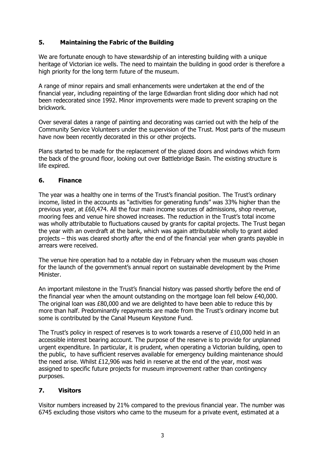## **5. Maintaining the Fabric of the Building**

We are fortunate enough to have stewardship of an interesting building with a unique heritage of Victorian ice wells. The need to maintain the building in good order is therefore a high priority for the long term future of the museum.

A range of minor repairs and small enhancements were undertaken at the end of the financial year, including repainting of the large Edwardian front sliding door which had not been redecorated since 1992. Minor improvements were made to prevent scraping on the brickwork.

Over several dates a range of painting and decorating was carried out with the help of the Community Service Volunteers under the supervision of the Trust. Most parts of the museum have now been recently decorated in this or other projects.

Plans started to be made for the replacement of the glazed doors and windows which form the back of the ground floor, looking out over Battlebridge Basin. The existing structure is life expired.

## **6. Finance**

The year was a healthy one in terms of the Trust's financial position. The Trust's ordinary income, listed in the accounts as "activities for generating funds" was 33% higher than the previous year, at £60,474. All the four main income sources of admissions, shop revenue, mooring fees and venue hire showed increases. The reduction in the Trust's total income was wholly attributable to fluctuations caused by grants for capital projects. The Trust began the year with an overdraft at the bank, which was again attributable wholly to grant aided projects – this was cleared shortly after the end of the financial year when grants payable in arrears were received.

The venue hire operation had to a notable day in February when the museum was chosen for the launch of the government's annual report on sustainable development by the Prime Minister.

An important milestone in the Trust's financial history was passed shortly before the end of the financial year when the amount outstanding on the mortgage loan fell below £40,000. The original loan was £80,000 and we are delighted to have been able to reduce this by more than half. Predominantly repayments are made from the Trust's ordinary income but some is contributed by the Canal Museum Keystone Fund.

The Trust's policy in respect of reserves is to work towards a reserve of £10,000 held in an accessible interest bearing account. The purpose of the reserve is to provide for unplanned urgent expenditure. In particular, it is prudent, when operating a Victorian building, open to the public, to have sufficient reserves available for emergency building maintenance should the need arise. Whilst £12,906 was held in reserve at the end of the year, most was assigned to specific future projects for museum improvement rather than contingency purposes.

## **7. Visitors**

Visitor numbers increased by 21% compared to the previous financial year. The number was 6745 excluding those visitors who came to the museum for a private event, estimated at a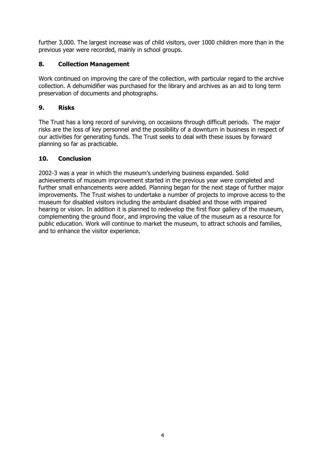further 3,000. The largest increase was of child visitors, over 1000 children more than in the previous year were recorded, mainly in school groups.

## **8. Collection Management**

Work continued on improving the care of the collection, with particular regard to the archive collection. A dehumidifier was purchased for the library and archives as an aid to long term preservation of documents and photographs.

## **9. Risks**

The Trust has a long record of surviving, on occasions through difficult periods. The major risks are the loss of key personnel and the possibility of a downturn in business in respect of our activities for generating funds. The Trust seeks to deal with these issues by forward planning so far as practicable.

## **10. Conclusion**

2002-3 was a year in which the museum's underlying business expanded. Solid achievements of museum improvement started in the previous year were completed and further small enhancements were added. Planning began for the next stage of further major improvements. The Trust wishes to undertake a number of projects to improve access to the museum for disabled visitors including the ambulant disabled and those with impaired hearing or vision. In addition it is planned to redevelop the first floor gallery of the museum, complementing the ground floor, and improving the value of the museum as a resource for public education. Work will continue to market the museum, to attract schools and families, and to enhance the visitor experience.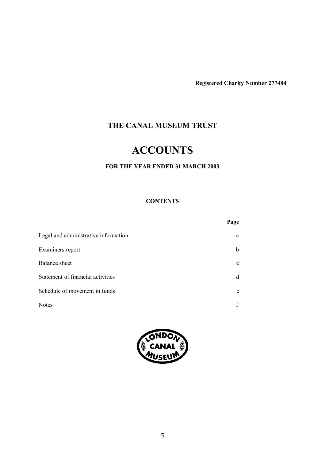**Registered Charity Number 277484**

## **THE CANAL MUSEUM TRUST**

## **ACCOUNTS**

## **FOR THE YEAR ENDED 31 MARCH 2003**

## **CONTENTS**

|                                      | Page        |
|--------------------------------------|-------------|
| Legal and administrative information | a           |
| Examiners report                     | b           |
| <b>Balance</b> sheet                 | $\mathbf c$ |
| Statement of financial activities    | d           |
| Schedule of movement in funds        | e           |
| <b>Notes</b>                         |             |

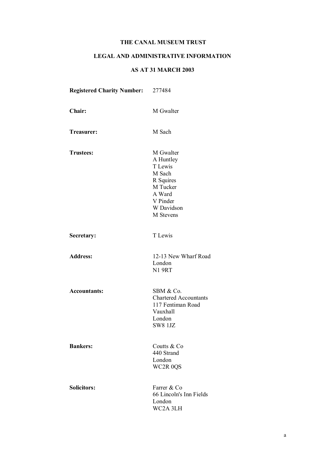## **LEGAL AND ADMINISTRATIVE INFORMATION**

## **AS AT 31 MARCH 2003**

| <b>Registered Charity Number:</b> | 277484                                                                                                                |
|-----------------------------------|-----------------------------------------------------------------------------------------------------------------------|
| Chair:                            | M Gwalter                                                                                                             |
| Treasurer:                        | M Sach                                                                                                                |
| <b>Trustees:</b>                  | M Gwalter<br>A Huntley<br>T Lewis<br>M Sach<br>R Squires<br>M Tucker<br>A Ward<br>V Pinder<br>W Davidson<br>M Stevens |
| Secretary:                        | T Lewis                                                                                                               |
| <b>Address:</b>                   | 12-13 New Wharf Road<br>London<br><b>N1 9RT</b>                                                                       |
| <b>Accountants:</b>               | SBM & Co.<br><b>Chartered Accountants</b><br>117 Fentiman Road<br>Vauxhall<br>London<br><b>SW8 1JZ</b>                |
| <b>Bankers:</b>                   | Coutts & Co<br>440 Strand<br>London<br>WC2R 0QS                                                                       |
| <b>Solicitors:</b>                | Farrer & Co<br>66 Lincoln's Inn Fields<br>London<br>WC2A 3LH                                                          |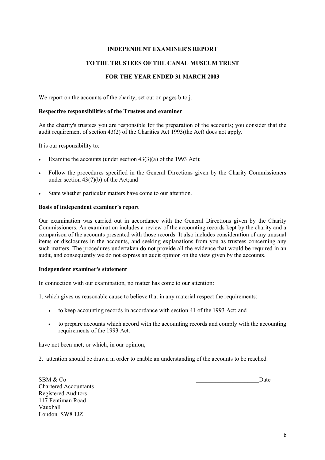#### **INDEPENDENT EXAMINER'S REPORT**

#### **TO THE TRUSTEES OF THE CANAL MUSEUM TRUST**

#### **FOR THE YEAR ENDED 31 MARCH 2003**

We report on the accounts of the charity, set out on pages b to j.

#### **Respective responsibilities of the Trustees and examiner**

As the charity's trustees you are responsible for the preparation of the accounts; you consider that the audit requirement of section 43(2) of the Charities Act 1993(the Act) does not apply.

It is our responsibility to:

- Examine the accounts (under section  $43(3)(a)$  of the 1993 Act);
- Follow the procedures specified in the General Directions given by the Charity Commissioners under section 43(7)(b) of the Act;and
- State whether particular matters have come to our attention.

#### **Basis of independent examiner's report**

Our examination was carried out in accordance with the General Directions given by the Charity Commissioners. An examination includes a review of the accounting records kept by the charity and a comparison of the accounts presented with those records. It also includes consideration of any unusual items or disclosures in the accounts, and seeking explanations from you as trustees concerning any such matters. The procedures undertaken do not provide all the evidence that would be required in an audit, and consequently we do not express an audit opinion on the view given by the accounts.

#### **Independent examiner's statement**

In connection with our examination, no matter has come to our attention:

1. which gives us reasonable cause to believe that in any material respect the requirements:

- to keep accounting records in accordance with section 41 of the 1993 Act; and
- to prepare accounts which accord with the accounting records and comply with the accounting requirements of the 1993 Act.

have not been met; or which, in our opinion,

2. attention should be drawn in order to enable an understanding of the accounts to be reached.

Chartered Accountants Registered Auditors 117 Fentiman Road Vauxhall London SW8 1JZ

 $SBM & Co$  Date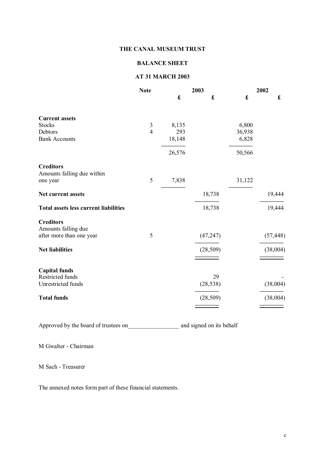#### **BALANCE SHEET**

## **AT 31 MARCH 2003**

|                                                | <b>Note</b>    | 2003                 |                    | 2002        |                      |
|------------------------------------------------|----------------|----------------------|--------------------|-------------|----------------------|
|                                                |                | $\pmb{\mathfrak{L}}$ | $\pmb{\mathbf{f}}$ | $\mathbf f$ | $\pmb{\mathfrak{L}}$ |
| <b>Current assets</b>                          |                |                      |                    |             |                      |
| <b>Stocks</b>                                  | 3              | 8,135                |                    | 6,800       |                      |
| Debtors                                        | $\overline{4}$ | 293                  |                    | 36,938      |                      |
| <b>Bank Accounts</b>                           |                | 18,148               |                    | 6,828       |                      |
|                                                |                | 26,576               |                    | 50,566      |                      |
| <b>Creditors</b><br>Amounts falling due within |                |                      |                    |             |                      |
| one year                                       | 5              | 7,838                |                    | 31,122      |                      |
| <b>Net current assets</b>                      |                |                      | 18,738             |             | 19,444               |
| <b>Total assets less current liabilities</b>   |                |                      | 18,738             |             | 19,444               |
| <b>Creditors</b><br>Amounts falling due        |                |                      |                    |             |                      |
| after more than one year                       | 5              |                      | (47, 247)          |             | (57, 448)            |
| <b>Net liabilities</b>                         |                |                      | (28, 509)          |             | (38,004)             |
| <b>Capital funds</b>                           |                |                      |                    |             |                      |
| Restricted funds                               |                |                      | 29                 |             |                      |
| Unrestricted funds                             |                |                      | (28, 538)          |             | (38,004)             |
| <b>Total funds</b>                             |                |                      | (28, 509)          |             | (38,004)             |
|                                                |                |                      |                    |             |                      |

Approved by the board of trustees on \_\_\_\_\_\_\_\_\_\_\_\_\_\_\_\_\_\_\_\_\_\_ and signed on its behalf

M Gwalter - Chairman

M Sach - Treasurer

The annexed notes form part of these financial statements.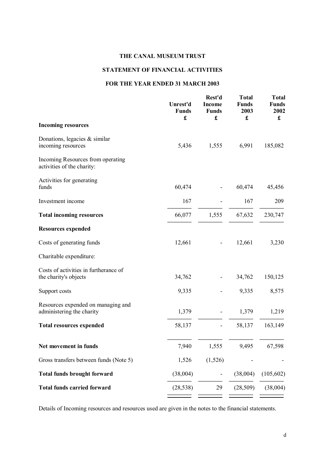## **STATEMENT OF FINANCIAL ACTIVITIES**

#### **FOR THE YEAR ENDED 31 MARCH 2003**

|                                                                 | Unrest'd<br><b>Funds</b><br>£ | Rest'd<br><b>Income</b><br><b>Funds</b><br>£ | <b>Total</b><br><b>Funds</b><br>2003<br>£ | <b>Total</b><br><b>Funds</b><br>2002<br>$\mathbf f$ |
|-----------------------------------------------------------------|-------------------------------|----------------------------------------------|-------------------------------------------|-----------------------------------------------------|
| <b>Incoming resources</b>                                       |                               |                                              |                                           |                                                     |
| Donations, legacies $&$ similar<br>incoming resources           | 5,436                         | 1,555                                        | 6,991                                     | 185,082                                             |
| Incoming Resources from operating<br>activities of the charity: |                               |                                              |                                           |                                                     |
| Activities for generating<br>funds                              | 60,474                        |                                              | 60,474                                    | 45,456                                              |
| Investment income                                               | 167                           |                                              | 167                                       | 209                                                 |
| <b>Total incoming resources</b>                                 | 66,077                        | 1,555                                        | 67,632                                    | 230,747                                             |
| <b>Resources expended</b>                                       |                               |                                              |                                           |                                                     |
| Costs of generating funds                                       | 12,661                        |                                              | 12,661                                    | 3,230                                               |
| Charitable expenditure:                                         |                               |                                              |                                           |                                                     |
| Costs of activities in furtherance of<br>the charity's objects  | 34,762                        |                                              | 34,762                                    | 150,125                                             |
| Support costs                                                   | 9,335                         |                                              | 9,335                                     | 8,575                                               |
| Resources expended on managing and<br>administering the charity | 1,379                         | $\qquad \qquad \blacksquare$                 | 1,379                                     | 1,219                                               |
| <b>Total resources expended</b>                                 | 58,137                        | $\overline{\phantom{0}}$                     | 58,137                                    | 163,149                                             |
| Net movement in funds                                           | 7,940                         | 1,555                                        | 9,495                                     | 67,598                                              |
| Gross transfers between funds (Note 5)                          | 1,526                         | (1,526)                                      |                                           |                                                     |
| <b>Total funds brought forward</b>                              | (38,004)                      |                                              | (38,004)                                  | (105, 602)                                          |
| <b>Total funds carried forward</b>                              | (28, 538)                     | 29                                           | (28, 509)                                 | (38,004)                                            |
|                                                                 |                               |                                              |                                           |                                                     |

Details of Incoming resources and resources used are given in the notes to the financial statements.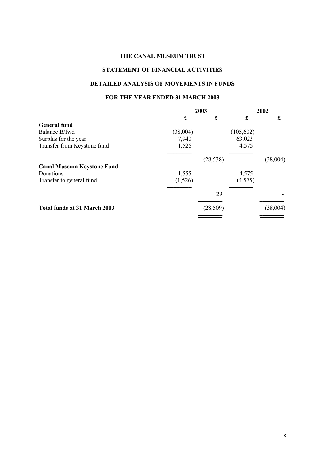## **STATEMENT OF FINANCIAL ACTIVITIES**

#### **DETAILED ANALYSIS OF MOVEMENTS IN FUNDS**

#### **FOR THE YEAR ENDED 31 MARCH 2003**

|                                   |          | 2003      | 2002       |          |
|-----------------------------------|----------|-----------|------------|----------|
|                                   | £        | £         | £          | £        |
| <b>General fund</b>               |          |           |            |          |
| Balance B/fwd                     | (38,004) |           | (105, 602) |          |
| Surplus for the year              | 7,940    |           | 63,023     |          |
| Transfer from Keystone fund       | 1,526    |           | 4,575      |          |
|                                   |          | (28, 538) |            | (38,004) |
| <b>Canal Museum Keystone Fund</b> |          |           |            |          |
| Donations                         | 1,555    |           | 4,575      |          |
| Transfer to general fund          | (1,526)  |           | (4, 575)   |          |
|                                   |          | 29        |            |          |
| Total funds at 31 March 2003      |          | (28, 509) |            | (38,004) |
|                                   |          |           |            |          |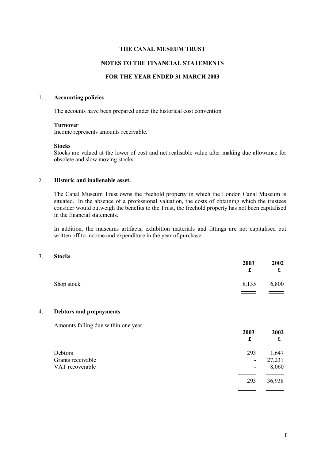#### **NOTES TO THE FINANCIAL STATEMENTS**

#### **FOR THE YEAR ENDED 31 MARCH 2003**

#### 1. **Accounting policies**

The accounts have been prepared under the historical cost convention.

#### **Turnover**

Income represents amounts receivable.

#### **Stocks**

Stocks are valued at the lower of cost and net realisable value after making due allowance for obsolete and slow moving stocks.

#### 2. **Historic and inalienable asset.**

The Canal Museum Trust owns the freehold property in which the London Canal Museum is situated. In the absence of a professional valuation, the costs of obtaining which the trustees consider would outweigh the benefits to the Trust, the freehold property has not been capitalised in the financial statements.

In addition, the museums artifacts, exhibition materials and fittings are not capitalised but written off to income and expenditure in the year of purchase.

#### 3. **Stocks**

|            | 2003<br>£ | 2002<br>£ |
|------------|-----------|-----------|
| Shop stock | 8,135     | 6,800     |
|            |           |           |

#### 4. **Debtors and prepayments**

Amounts falling due within one year:

|                   | 2003<br>£ | 2002<br>£ |
|-------------------|-----------|-----------|
| Debtors           | 293       | 1,647     |
| Grants receivable | ۰         | 27,231    |
| VAT recoverable   | -         | 8,060     |
|                   | 293       | 36,938    |
|                   |           |           |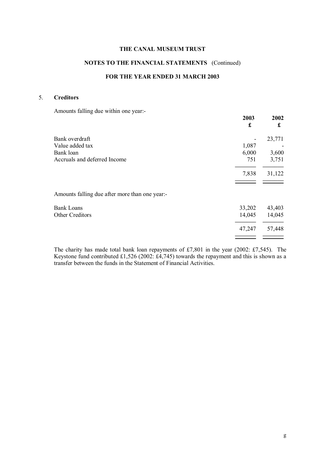### **NOTES TO THE FINANCIAL STATEMENTS** (Continued)

#### **FOR THE YEAR ENDED 31 MARCH 2003**

#### 5. **Creditors**

Amounts falling due within one year:-

|                                                | 2003<br>£ | 2002<br>£ |
|------------------------------------------------|-----------|-----------|
| Bank overdraft                                 |           | 23,771    |
| Value added tax                                | 1,087     |           |
| Bank loan                                      | 6,000     | 3,600     |
| Accruals and deferred Income                   | 751       | 3,751     |
|                                                | 7,838     | 31,122    |
| Amounts falling due after more than one year:- |           |           |
| <b>Bank Loans</b>                              | 33,202    | 43,403    |
| Other Creditors                                | 14,045    | 14,045    |
|                                                | 47,247    | 57,448    |
|                                                |           |           |

The charity has made total bank loan repayments of £7,801 in the year (2002: £7,545). The Keystone fund contributed £1,526 (2002: £4,745) towards the repayment and this is shown as a transfer between the funds in the Statement of Financial Activities.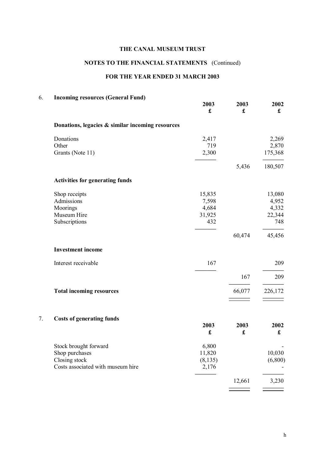## **NOTES TO THE FINANCIAL STATEMENTS** (Continued)

## **FOR THE YEAR ENDED 31 MARCH 2003**

## 6. **Incoming resources (General Fund)**

|                                                  | 2003<br>$\pmb{\mathfrak{L}}$ | 2003<br>£ | 2002<br>$\mathbf f$          |
|--------------------------------------------------|------------------------------|-----------|------------------------------|
| Donations, legacies & similar incoming resources |                              |           |                              |
| Donations                                        | 2,417                        |           | 2,269                        |
| Other<br>Grants (Note 11)                        | 719<br>2,300                 |           | 2,870<br>175,368             |
|                                                  |                              | 5,436     | 180,507                      |
| <b>Activities for generating funds</b>           |                              |           |                              |
| Shop receipts                                    | 15,835                       |           | 13,080                       |
| Admissions                                       | 7,598                        |           | 4,952                        |
| Moorings                                         | 4,684                        |           | 4,332                        |
| Museum Hire                                      | 31,925                       |           | 22,344                       |
| Subscriptions                                    | 432                          |           | 748                          |
|                                                  |                              | 60,474    | 45,456                       |
| <b>Investment</b> income                         |                              |           |                              |
| Interest receivable                              | 167                          |           | 209                          |
|                                                  |                              | 167       | 209                          |
|                                                  |                              |           |                              |
| <b>Total incoming resources</b>                  |                              | 66,077    | 226,172                      |
| <b>Costs of generating funds</b>                 |                              |           |                              |
|                                                  | 2003<br>£                    | 2003<br>£ | 2002<br>$\pmb{\mathfrak{L}}$ |
|                                                  |                              |           |                              |
| Stock brought forward                            | 6,800                        |           |                              |
| Shop purchases                                   | 11,820                       |           | 10,030                       |
| Closing stock                                    | (8, 135)                     |           | (6,800)                      |
| Costs associated with museum hire                | 2,176                        |           |                              |
|                                                  |                              | 12,661    | 3,230                        |
|                                                  |                              |           |                              |
|                                                  |                              |           |                              |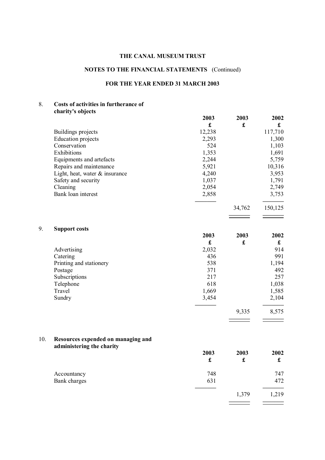## **NOTES TO THE FINANCIAL STATEMENTS** (Continued)

#### **FOR THE YEAR ENDED 31 MARCH 2003**

#### 8. **Costs of activities in furtherance of charity's objects**

|                                   | 2003   | 2003   | 2002    |
|-----------------------------------|--------|--------|---------|
|                                   | £      | £      | £       |
| Buildings projects                | 12,238 |        | 117,710 |
| <b>Education</b> projects         | 2,293  |        | 1,300   |
| Conservation                      | 524    |        | 1,103   |
| Exhibitions                       | 1,353  |        | 1,691   |
| Equipments and artefacts          | 2,244  |        | 5,759   |
| Repairs and maintenance           | 5,921  |        | 10,316  |
| Light, heat, water $\&$ insurance | 4,240  |        | 3,953   |
| Safety and security               | 1,037  |        | 1,791   |
| Cleaning                          | 2,054  |        | 2,749   |
| Bank loan interest                | 2,858  |        | 3,753   |
|                                   |        | 34,762 | 150,125 |
|                                   |        |        |         |

|  | 9. | <b>Support costs</b> |  |
|--|----|----------------------|--|
|--|----|----------------------|--|

|                         | 2003  | 2003 | 2002  |
|-------------------------|-------|------|-------|
|                         | £     | £    | £     |
| Advertising             | 2,032 |      | 914   |
| Catering                | 436   |      | 991   |
| Printing and stationery | 538   |      | 1,194 |
| Postage                 | 371   |      | 492   |
| Subscriptions           | 217   |      | 257   |
| Telephone               | 618   |      | 1,038 |
| Travel                  | 1,669 |      | 1,585 |
| Sundry                  | 3,454 |      | 2,104 |

 9,335 8,575 **––––––– –––––––**

#### 10. **Resources expended on managing and administering the charity**

|              | 2003 | 2003  | 2002 |
|--------------|------|-------|------|
|              | £    | £     | £    |
| Accountancy  | 748  |       | 747  |
| Bank charges | 631  |       | 472  |
|              |      | 1,379 | ,219 |

**––––––– –––––––**